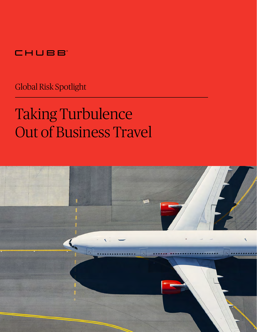## CHUBB

Global Risk Spotlight

# Taking Turbulence Out of Business Travel

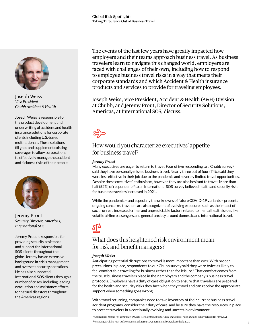

Joseph Weiss *Vice President Chubb Accident & Health*

Joseph Weiss is responsible for the product development and underwriting of accident and health insurance solutions for corporate clients including U.S.-based multinationals. These solutions fill gaps and supplement existing coverages to allow corporations to effectively manage the accident and sickness risks of their people.



Jeremy Prout *Security Director, Americas, International SOS*

Jeremy Prout is responsible for providing security assistance and support for International SOS clients throughout the globe. Jeremy has an extensive background in crisis management and overseas security operations. He has also supported International SOS clients through a number of crises, including leading evacuation and assistance efforts for natural disasters throughout the Americas regions.

The events of the last few years have greatly impacted how employers and their teams approach business travel. As business travelers learn to navigate this changed world, employers are faced with challenges of their own, including how to respond to employee business travel risks in a way that meets their corporate standards and which Accident & Health insurance products and services to provide for traveling employees.

Joseph Weiss, Vice President, Accident & Health (A&H) Division at Chubb, and Jeremy Prout, Director of Security Solutions, Americas, at International SOS, discuss.

## $\sum_{i=1}^{n}$

### How would you characterize executives' appetite for business travel?

#### *Jeremy Prout*

Many executives are eager to return to travel. Four of five responding to a Chubb survey<sup>1</sup> said they have personally missed business travel. Nearly three out of four (74%) said they were less effective in their job due to the pandemic and severely limited travel opportunities. Despite these executives' enthusiasm, however, they are also hesitant to travel: More than half (52%) of respondents<sup>2</sup> to an International SOS survey believed health and security risks for business travelers increased in 2021.

While the pandemic – and especially the unknowns of future COVID-19 variants – presents ongoing concerns, travelers are also cognizant of evolving exposures such as the impact of social unrest, increased crime, and unpredictable factors related to mental health issues like volatile airline passengers and general anxiety around domestic and international travel.

### What does this heightened risk environment mean for risk and benefit managers?

#### *Joseph Weiss*

Anticipating potential disruptions to travel is more important than ever. With proper precautions in place, respondents to our Chubb survey said they were twice as likely to feel comfortable traveling for business rather than for leisure.<sup>1</sup> That comfort comes from the trust business travelers place in their employers and the company's business travel protocols. Employers have a duty of care obligation to ensure that travelers are prepared for the health and security risks they face when they travel and can receive the appropriate support when something goes wrong.

With travel returning, companies need to take inventory of their current business travel accident programs, consider their duty of care, and be sure they have the resources in place to protect travelers in a continually evolving and uncertain environment.

 1 According to *Time to Fly: The Impact of Covid-19 on the Present and Future of Business Travel*, a Chubb survey released in April 2021. 2 According to Global Risk Outlook Benchmarking Survey, International SOS, released July 2021.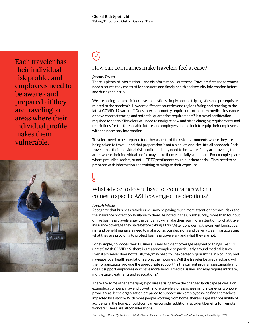Each traveler has their individual risk profile, and employees need to be aware - and prepared - if they are traveling to areas where their individual profile makes them vulnerable.



#### How can companies make travelers feel at ease?

#### *Jeremy Prout*

There is plenty of information – and disinformation – out there. Travelers first and foremost need a source they can trust for accurate and timely health and security information before and during their trip.

We are seeing a dramatic increase in questions simply around trip logistics and prerequisites related to the pandemic. How are different countries and regions faring and reacting to the latest COVID-19 variants? Does a certain country require out-of-country medical insurance or have contract tracing and potential quarantine requirements? Is a travel certification required for entry? Travelers will need to navigate new and often changing requirements and restrictions for the foreseeable future, and employers should look to equip their employees with the necessary information.

Travelers need to be prepared for other aspects of the risk environments where they are being asked to travel – and that preparation is not a blanket, one-size-fits-all approach. Each traveler has their individual risk profile, and they need to be aware if they are traveling to areas where their individual profile may make them especially vulnerable. For example, places where prejudice, racism, or anti-LGBTQ sentiments could put them at risk. They need to be prepared with information and training to mitigate their exposure.

## Гq

#### What advice to do you have for companies when it comes to specific A&H coverage considerations?

#### *Joseph Weiss*

Recognize that business travelers will now be paying much more attention to travel risks and the insurance protection available to them. As noted in the Chubb survey, more than four out of five business travelers say the pandemic will make them pay more attention to what travel insurance coverage they have before taking a trip.<sup>1</sup> After considering the current landscape, risk and benefit managers need to make conscious decisions and be very clear in articulating what they are providing to protect business travelers – and what they are not.

For example, how does their Business Travel Accident coverage respond to things like civil unrest? With COVID-19, there is greater complexity, particularly around medical issues. Even if a traveler does not fall ill, they may need to unexpectedly quarantine in a country and navigate local health regulations along their journey. Will the traveler be prepared, and will their organization provide the appropriate support? Is the current program sustainable and does it support employees who have more serious medical issues and may require intricate, multi-stage treatments and evacuations?

There are some other emerging exposures arising from the changed landscape as well. For example, a company may end up with more travelers or assignees in hurricane- or typhoonprone areas. Is the organization prepared to support such employees who find themselves impacted by a storm? With more people working from home, there is a greater possibility of accidents in the home. Should companies consider additional accident benefits for remote workers? These are all considerations.

1 According to *Time to Fly: The Impact of Covid-19 on the Present and Future of Business Travel,* a Chubb survey released in April 2021.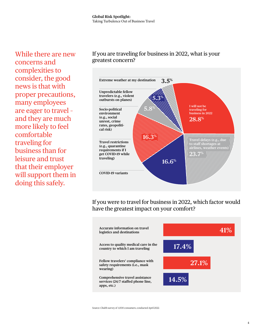While there are new concerns and complexities to consider, the good news is that with proper precautions, many employees are eager to travel – and they are much more likely to feel comfortable traveling for business than for leisure and trust that their employer will support them in doing this safely.

#### If you are traveling for business in 2022, what is your greatest concern?



If you were to travel for business in 2022, which factor would have the greatest impact on your comfort?



Source: Chubb survey of 1,000 consumers, conducted April 2022.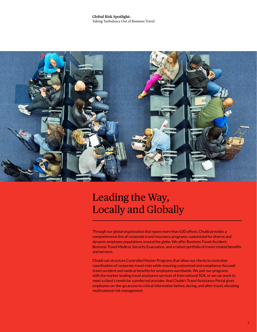#### **Global Risk Spotlight:**  Taking Turbulence Out of Business Travel



## Leading the Way, Locally and Globally

Through our global organization that spans more than 630 offices, Chubb provides a comprehensive line of corporate travel insurance programs, customized for diverse and dynamic employee populations around the globe. We offer Business Travel Accident, Business Travel Medical, Security Evacuation, and a robust portfolio of travel-related benefits and services.

Chubb can structure Controlled Master Programs that allow our clients to centralize coordination of corporate travel risks while ensuring customized and compliance-focused travel accident and medical benefits for employees worldwide. We pair our programs with the market-leading travel assistance services of International SOS, or we can work to meet a client's needs for a preferred provider. And Chubb's Travel Assistance Portal gives employees on-the-go access to critical information before, during, and after travel, elevating multinational risk management.